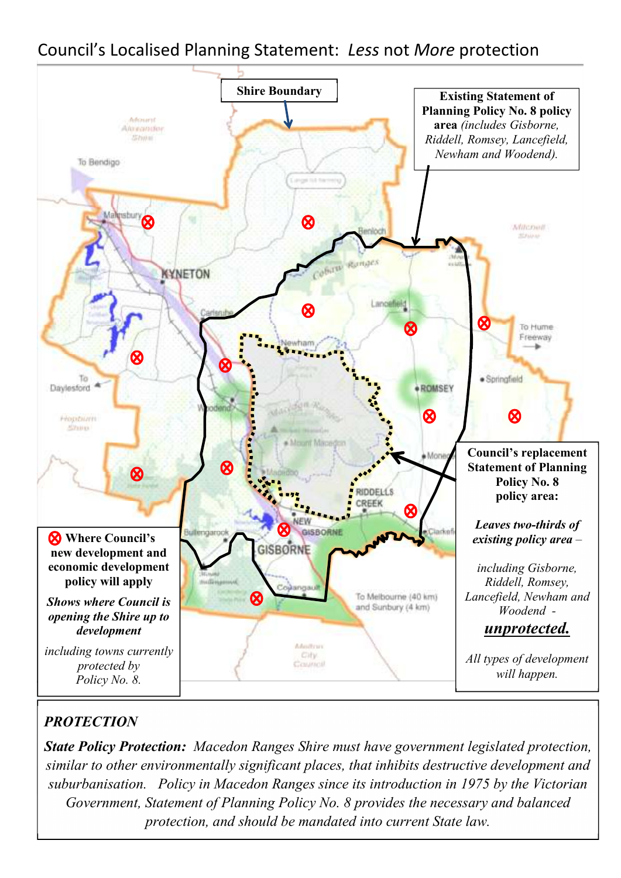### Council's Localised Planning Statement: *Less* not *More* protection



#### *PROTECTION*

*State Policy Protection: Macedon Ranges Shire must have government legislated protection, similar to other environmentally significant places, that inhibits destructive development and suburbanisation. Policy in Macedon Ranges since its introduction in 1975 by the Victorian Government, Statement of Planning Policy No. 8 provides the necessary and balanced protection, and should be mandated into current State law.*